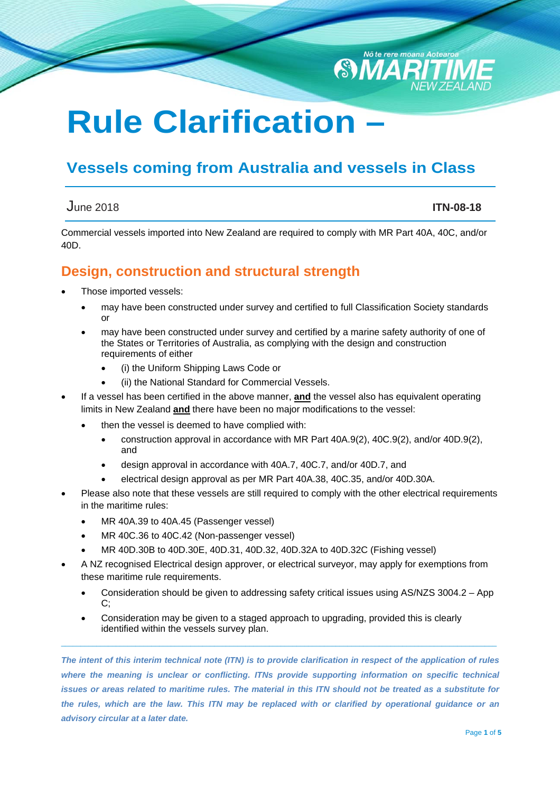# **Rule Clarification –**

## **Vessels coming from Australia and vessels in Class**

#### June 2018 **ITN-08-18**

Nō te rere moana Aotear

**SMA** 

Commercial vessels imported into New Zealand are required to comply with MR Part 40A, 40C, and/or 40D.

#### **Design, construction and structural strength**

- Those imported vessels:
	- may have been constructed under survey and certified to full Classification Society standards or
	- may have been constructed under survey and certified by a marine safety authority of one of the States or Territories of Australia, as complying with the design and construction requirements of either
		- (i) the Uniform Shipping Laws Code or
		- (ii) the National Standard for Commercial Vessels.
- If a vessel has been certified in the above manner, **and** the vessel also has equivalent operating limits in New Zealand **and** there have been no major modifications to the vessel:
	- then the vessel is deemed to have complied with:
		- construction approval in accordance with MR Part 40A.9(2), 40C.9(2), and/or 40D.9(2), and
		- design approval in accordance with 40A.7, 40C.7, and/or 40D.7, and
		- electrical design approval as per MR Part 40A.38, 40C.35, and/or 40D.30A.
- Please also note that these vessels are still required to comply with the other electrical requirements in the maritime rules:
	- MR 40A.39 to 40A.45 (Passenger vessel)
	- MR 40C.36 to 40C.42 (Non-passenger vessel)
	- MR 40D.30B to 40D.30E, 40D.31, 40D.32, 40D.32A to 40D.32C (Fishing vessel)
- A NZ recognised Electrical design approver, or electrical surveyor, may apply for exemptions from these maritime rule requirements.
	- Consideration should be given to addressing safety critical issues using AS/NZS 3004.2 App  $C$ :
	- Consideration may be given to a staged approach to upgrading, provided this is clearly identified within the vessels survey plan.

*The intent of this interim technical note (ITN) is to provide clarification in respect of the application of rules*  where the meaning is unclear or conflicting. ITNs provide supporting information on specific technical *issues or areas related to maritime rules. The material in this ITN should not be treated as a substitute for the rules, which are the law. This ITN may be replaced with or clarified by operational guidance or an advisory circular at a later date.*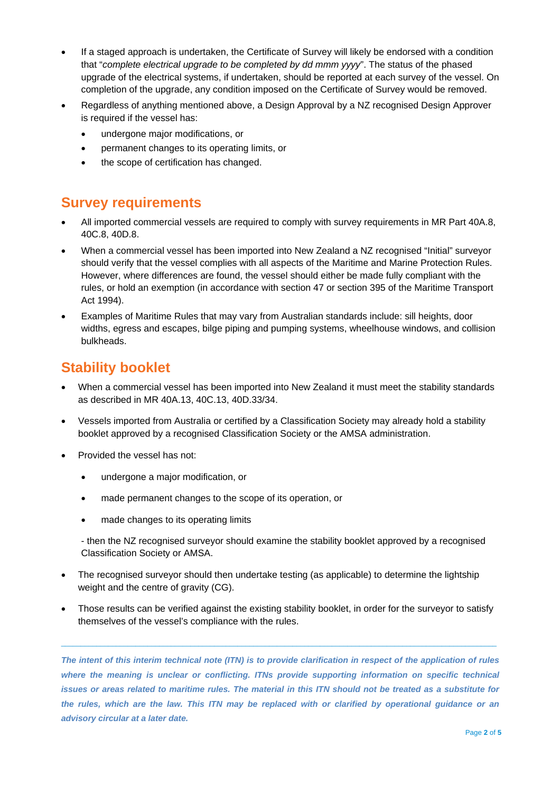- If a staged approach is undertaken, the Certificate of Survey will likely be endorsed with a condition that "*complete electrical upgrade to be completed by dd mmm yyyy*". The status of the phased upgrade of the electrical systems, if undertaken, should be reported at each survey of the vessel. On completion of the upgrade, any condition imposed on the Certificate of Survey would be removed.
- Regardless of anything mentioned above, a Design Approval by a NZ recognised Design Approver is required if the vessel has:
	- undergone major modifications, or
	- permanent changes to its operating limits, or
	- the scope of certification has changed.

### **Survey requirements**

- All imported commercial vessels are required to comply with survey requirements in MR Part 40A.8, 40C.8, 40D.8.
- When a commercial vessel has been imported into New Zealand a NZ recognised "Initial" surveyor should verify that the vessel complies with all aspects of the Maritime and Marine Protection Rules. However, where differences are found, the vessel should either be made fully compliant with the rules, or hold an exemption (in accordance with section 47 or section 395 of the Maritime Transport Act 1994).
- Examples of Maritime Rules that may vary from Australian standards include: sill heights, door widths, egress and escapes, bilge piping and pumping systems, wheelhouse windows, and collision bulkheads.

### **Stability booklet**

- When a commercial vessel has been imported into New Zealand it must meet the stability standards as described in MR 40A.13, 40C.13, 40D.33/34.
- Vessels imported from Australia or certified by a Classification Society may already hold a stability booklet approved by a recognised Classification Society or the AMSA administration.
- Provided the vessel has not:
	- undergone a major modification, or
	- made permanent changes to the scope of its operation, or
	- made changes to its operating limits

- then the NZ recognised surveyor should examine the stability booklet approved by a recognised Classification Society or AMSA.

- The recognised surveyor should then undertake testing (as applicable) to determine the lightship weight and the centre of gravity (CG).
- Those results can be verified against the existing stability booklet, in order for the surveyor to satisfy themselves of the vessel's compliance with the rules.

 $\_$  ,  $\_$  ,  $\_$  ,  $\_$  ,  $\_$  ,  $\_$  ,  $\_$  ,  $\_$  ,  $\_$  ,  $\_$  ,  $\_$  ,  $\_$  ,  $\_$  ,  $\_$  ,  $\_$  ,  $\_$  ,  $\_$  ,  $\_$  ,  $\_$  ,  $\_$  ,  $\_$  ,  $\_$  ,  $\_$  ,  $\_$  ,  $\_$  ,  $\_$  ,  $\_$  ,  $\_$  ,  $\_$  ,  $\_$  ,  $\_$  ,  $\_$  ,  $\_$  ,  $\_$  ,  $\_$  ,  $\_$  ,  $\_$  ,

*The intent of this interim technical note (ITN) is to provide clarification in respect of the application of rules*  where the meaning is unclear or conflicting. ITNs provide supporting information on specific technical *issues or areas related to maritime rules. The material in this ITN should not be treated as a substitute for the rules, which are the law. This ITN may be replaced with or clarified by operational guidance or an advisory circular at a later date.*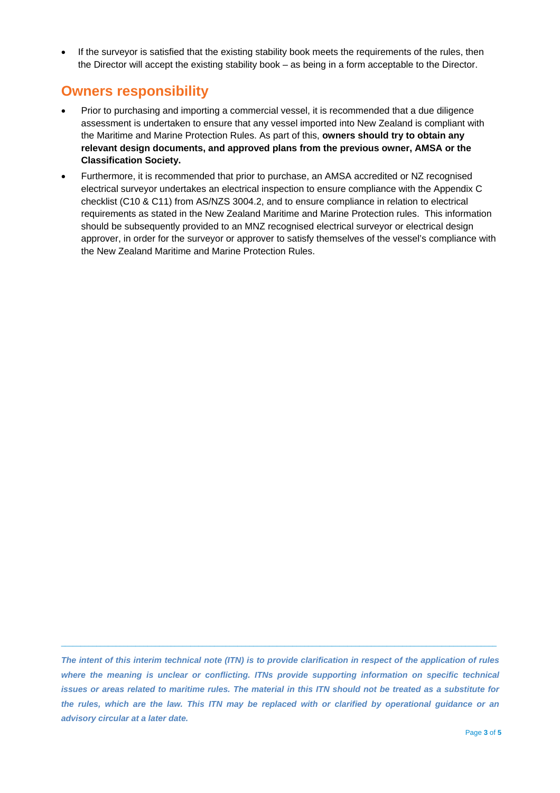If the surveyor is satisfied that the existing stability book meets the requirements of the rules, then the Director will accept the existing stability book – as being in a form acceptable to the Director.

#### **Owners responsibility**

- Prior to purchasing and importing a commercial vessel, it is recommended that a due diligence assessment is undertaken to ensure that any vessel imported into New Zealand is compliant with the Maritime and Marine Protection Rules. As part of this, **owners should try to obtain any relevant design documents, and approved plans from the previous owner, AMSA or the Classification Society.**
- Furthermore, it is recommended that prior to purchase, an AMSA accredited or NZ recognised electrical surveyor undertakes an electrical inspection to ensure compliance with the Appendix C checklist (C10 & C11) from AS/NZS 3004.2, and to ensure compliance in relation to electrical requirements as stated in the New Zealand Maritime and Marine Protection rules. This information should be subsequently provided to an MNZ recognised electrical surveyor or electrical design approver, in order for the surveyor or approver to satisfy themselves of the vessel's compliance with the New Zealand Maritime and Marine Protection Rules.

*The intent of this interim technical note (ITN) is to provide clarification in respect of the application of rules*  where the meaning is unclear or conflicting. ITNs provide supporting information on specific technical *issues or areas related to maritime rules. The material in this ITN should not be treated as a substitute for the rules, which are the law. This ITN may be replaced with or clarified by operational guidance or an advisory circular at a later date.*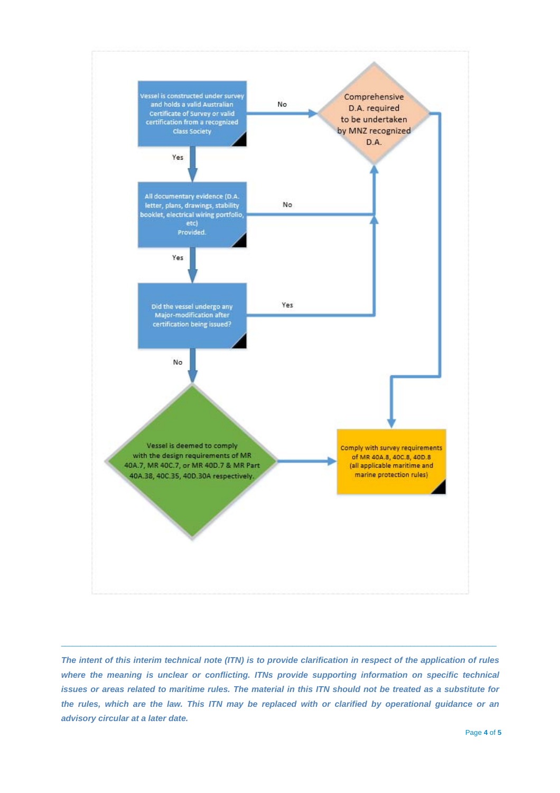

*The intent of this interim technical note (ITN) is to provide clarification in respect of the application of rules where the meaning is unclear or conflicting. ITNs provide supporting information on specific technical issues or areas related to maritime rules. The material in this ITN should not be treated as a substitute for the rules, which are the law. This ITN may be replaced with or clarified by operational guidance or an advisory circular at a later date.*